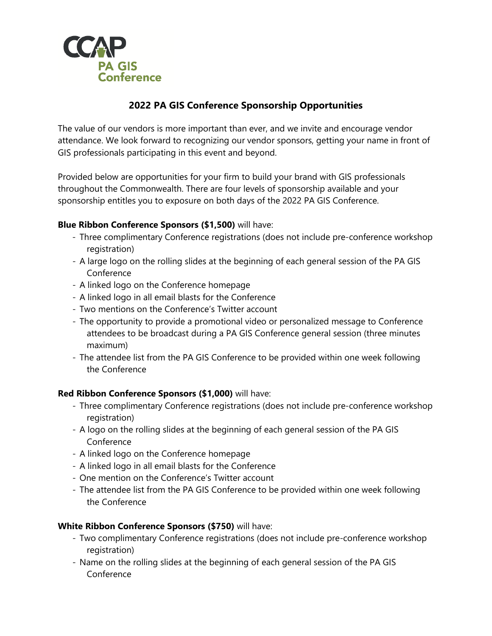

# **2022 PA GIS Conference Sponsorship Opportunities**

The value of our vendors is more important than ever, and we invite and encourage vendor attendance. We look forward to recognizing our vendor sponsors, getting your name in front of GIS professionals participating in this event and beyond.

Provided below are opportunities for your firm to build your brand with GIS professionals throughout the Commonwealth. There are four levels of sponsorship available and your sponsorship entitles you to exposure on both days of the 2022 PA GIS Conference.

## **Blue Ribbon Conference Sponsors (\$1,500)** will have:

- Three complimentary Conference registrations (does not include pre-conference workshop registration)
- A large logo on the rolling slides at the beginning of each general session of the PA GIS Conference
- A linked logo on the Conference homepage
- A linked logo in all email blasts for the Conference
- Two mentions on the Conference's Twitter account
- The opportunity to provide a promotional video or personalized message to Conference attendees to be broadcast during a PA GIS Conference general session (three minutes maximum)
- The attendee list from the PA GIS Conference to be provided within one week following the Conference

### **Red Ribbon Conference Sponsors (\$1,000)** will have:

- Three complimentary Conference registrations (does not include pre-conference workshop registration)
- A logo on the rolling slides at the beginning of each general session of the PA GIS Conference
- A linked logo on the Conference homepage
- A linked logo in all email blasts for the Conference
- One mention on the Conference's Twitter account
- The attendee list from the PA GIS Conference to be provided within one week following the Conference

### **White Ribbon Conference Sponsors (\$750)** will have:

- Two complimentary Conference registrations (does not include pre-conference workshop registration)
- Name on the rolling slides at the beginning of each general session of the PA GIS Conference